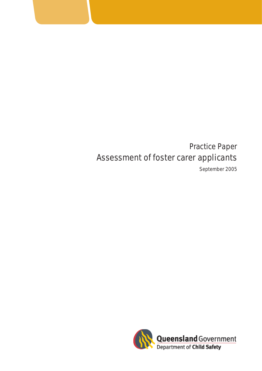# Assessment of foster carer applicants Practice Paper

September 2005

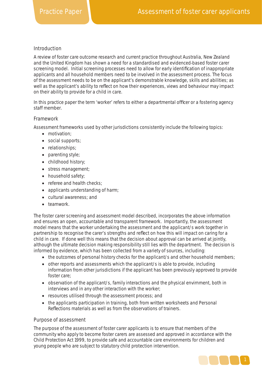# Introduction

A review of foster care outcome research and current practice throughout Australia, New Zealand and the United Kingdom has shown a need for a standardised and evidenced-based foster carer screening model. Initial screening processes need to allow for early identification of inappropriate applicants and all household members need to be involved in the assessment process. The focus of the assessment needs to be on the applicant's demonstrable knowledge, skills and abilities; as well as the applicant's ability to reflect on how their experiences, views and behaviour may impact on their ability to provide for a child in care.

In this practice paper the term 'worker' refers to either a departmental officer or a fostering agency staff member.

# Framework

Assessment frameworks used by other jurisdictions consistently include the following topics:

- motivation;
- social supports;
- relationships;
- parenting style;
- childhood history:
- stress management;
- household safety;
- referee and health checks:
- applicants understanding of harm;
- cultural awareness; and
- teamwork.

The foster carer screening and assessment model described, incorporates the above information and ensures an open, accountable and transparent framework. Importantly, the assessment model means that the worker undertaking the assessment and the applicant/s work together in partnership to recognise the carer's strengths and reflect on how this will impact on caring for a child in care. If done well this means that the decision about approval can be arrived at jointly, although the ultimate decision making responsibility still lies with the department. The decision is informed by evidence, which has been collected from a variety of sources, including:

- the outcomes of personal history checks for the applicant/s and other household members;
- other reports and assessments which the applicant/s is able to provide, including information from other jurisdictions if the applicant has been previously approved to provide foster care;
- observation of the applicant/s, family interactions and the physical envirnment, both in interviews and in any other interaction with the worker;
- resources utilised through the assessment process; and
- the applicants participation in training, both from written worksheets and *Personal Reflections* materials as well as from the observations of trainers.

# Purpose of assessment

The purpose of the assessment of foster carer applicants is to ensure that members of the community who apply to become foster carers are assessed and approved in accordance with the *Child Protection Act 1999*, to provide safe and accountable care environments for children and young people who are subject to statutory child protection intervention.

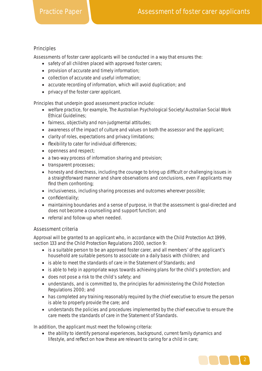# Principles

Assessments of foster carer applicants will be conducted in a way that ensures the:

- safety of all children placed with approved foster carers;
- provision of accurate and timely information;
- collection of accurate and useful information;
- accurate recording of information, which will avoid duplication; and
- privacy of the foster carer applicant.

Principles that underpin good assessment practice include:

- welfare practice, for example, The Australian Psychological Society/Australian Social Work Ethical Guidelines;
- fairness, objectivity and non-judgmental attitudes;
- awareness of the impact of culture and values on both the assessor and the applicant;
- clarity of roles, expectations and privacy limitations;
- flexibility to cater for individual differences:
- openness and respect;
- a two-way process of information sharing and provision;
- transparent processes;
- honesty and directness, including the courage to bring up difficult or challenging issues in a straightforward manner and share observations and conclusions, even if applicants may find them confronting;
- inclusiveness, including sharing processes and outcomes wherever possible;
- $\bullet$  confidentiality;
- maintaining boundaries and a sense of purpose, in that the assessment is goal-directed and does not become a counselling and support function; and
- referral and follow-up when needed.

# Assessment criteria

Approval will be granted to an applicant who, in accordance with the *Child Protection Act 1999*, section 133 and the *Child Protection Regulations 2000,* section 9:

- is a suitable person to be an approved foster carer, and all members' of the applicant's household are suitable persons to associate on a daily basis with children; and
- is able to meet the standards of care in the Statement of Standards; and
- is able to help in appropriate ways towards achieving plans for the child's protection; and
- does not pose a risk to the child's safety; and
- understands, and is committed to, the principles for administering the *Child Protection Regulations 2000*; and
- has completed any training reasonably required by the chief executive to ensure the person is able to properly provide the care; and
- understands the policies and procedures implemented by the chief executive to ensure the care meets the standards of care in the Statement of Standards.

In addition, the applicant must meet the following criteria:

• the ability to identify personal experiences, background, current family dynamics and lifestyle, and reflect on how these are relevant to caring for a child in care;

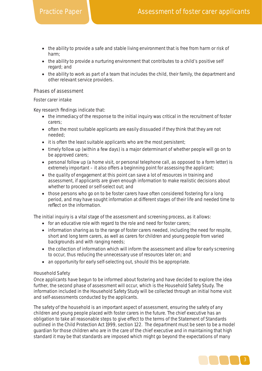- the ability to provide a safe and stable living environment that is free from harm or risk of harm;
- the ability to provide a nurturing environment that contributes to a child's positive self regard; and
- the ability to work as part of a team that includes the child, their family, the department and other relevant service providers.

# Phases of assessment

# Foster carer intake

Key research findings indicate that:

- the immediacy of the response to the initial inquiry was critical in the recruitment of foster carers;
- often the most suitable applicants are easily dissuaded if they think that they are not needed;
- it is often the least suitable applicants who are the most persistent;
- timely follow up (within a few days) is a major determinant of whether people will go on to be approved carers;
- personal follow up (a home visit, or personal telephone call, as opposed to a form letter) is extremely important – it also offers a beginning point for assessing the applicant;
- the quality of engagement at this point can save a lot of resources in training and assessment, if applicants are given enough information to make realistic decisions about whether to proceed or self-select out; and
- those persons who go on to be foster carers have often considered fostering for a long period, and may have sought information at different stages of their life and needed time to reflect on the information.

The initial inquiry is a vital stage of the assessment and screening process, as it allows:

- for an educative role with regard to the role and need for foster carers;
- information sharing as to the range of foster carers needed, including the need for respite, short and long term carers, as well as carers for children and young people from varied backgrounds and with ranging needs;
- the collection of information which will inform the assessment and allow for early screening to occur, thus reducing the unnecessary use of resources later on; and
- an opportunity for early self-selecting out, should this be appropriate.

# Household Safety

Once applicants have begun to be informed about fostering and have decided to explore the idea further, the second phase of assessment will occur, which is the Household Safety Study. The information included in the Household Safety Study will be collected through an initial home visit and self-assessments conducted by the applicants.

The safety of the household is an important aspect of assessment, ensuring the safety of any children and young people placed with foster carers in the future. The chief executive has an obligation to take all reasonable steps to give effect to the terms of the Statement of Standards outlined in the *Child Protection Act 1999,* section 122. The department must be seen to be a model guardian for those children who are in the care of the chief executive and in maintaining that high standard it may be that standards are imposed which might go beyond the expectations of many

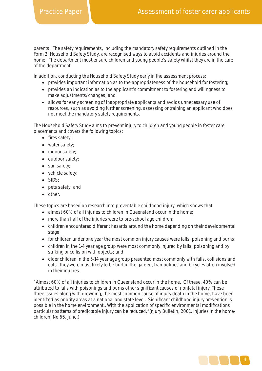parents. The safety requirements, including the mandatory safety requirements outlined in the Form 2: Household Safety Study, are recognised ways to avoid accidents and injuries around the home. The department must ensure children and young people's safety whilst they are in the care of the department.

In addition, conducting the Household Safety Study early in the assessment process:

- provides important information as to the appropriateness of the household for fostering;
- provides an indication as to the applicant's commitment to fostering and willingness to make adjustments/changes; and
- allows for early screening of inappropriate applicants and avoids unnecessary use of resources, such as avoiding further screening, assessing or training an applicant who does not meet the mandatory safety requirements.

The Household Safety Study aims to prevent injury to children and young people in foster care placements and covers the following topics:

- fires safety;
- water safety:
- indoor safety;
- outdoor safety;
- sun safety;
- vehicle safety;
- SIDS;
- pets safety; and
- other.

These topics are based on research into preventable childhood injury, which shows that:

- almost 60% of all injuries to children in Queensland occur in the home;
- more than half of the injuries were to pre-school age children;
- children encountered different hazards around the home depending on their developmental stage;
- for children under one year the most common injury causes were falls, poisoning and burns;
- children in the 1-4 year age group were most commonly injured by falls, poisoning and by striking or collision with objects; and
- older children in the 5-14 year age group presented most commonly with falls, collisions and cuts. They were most likely to be hurt in the garden, trampolines and bicycles often involved in their injuries.

"Almost 60% of all injuries to children in Queensland occur in the home. Of these, 40% can be attributed to falls with poisonings and burns other significant causes of nonfatal injury. These three issues along with drowning, the most common cause of injury death in the home, have been identified as priority areas at a national and state level. Significant childhood injury prevention is possible in the home environment...With the application of specific environmental modifications particular patterns of predictable injury can be reduced."(njury Bulletin, 2001, *Injuries in the homechildren*, No 66, June.)

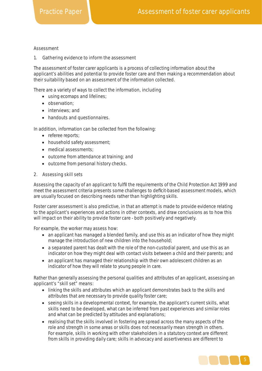#### Assessment

#### 1. Gathering evidence to inform the assessment

The assessment of foster carer applicants is a process of collecting information about the applicant's abilities and potential to provide foster care and then making a recommendation about their suitability based on an assessment of the information collected.

There are a variety of ways to collect the information, including

- using ecomaps and lifelines;
- observation;
- interviews; and
- handouts and questionnaires.

In addition, information can be collected from the following:

- referee reports;
- household safety assessment:
- medical assessments:
- outcome from attendance at training; and
- outcome from personal history checks.

#### 2. Assessing skill sets

Assessing the capacity of an applicant to fulfil the requirements of the *Child Protection Act 1999* and meet the assessment criteria presents some challenges to deficit-based assessment models, which are usually focused on describing needs rather than highlighting skills.

Foster carer assessment is also predictive, in that an attempt is made to provide evidence relating to the applicant's experiences and actions in other contexts, and draw conclusions as to how this will impact on their ability to provide foster care - both positively and negatively.

For example, the worker may assess how:

- an applicant has managed a blended family, and use this as an indicator of how they might manage the introduction of new children into the household;
- a separated parent has dealt with the role of the non-custodial parent, and use this as an indicator on how they might deal with contact visits between a child and their parents; and
- an applicant has managed their relationship with their own adolescent children as an indicator of how they will relate to young people in care.

Rather than generally assessing the personal qualities and attributes of an applicant, assessing an applicant's "skill set" means:

- linking the skills and attributes which an applicant demonstrates back to the skills and attributes that are necessary to provide quality foster care;
- seeing skills in a developmental context, for example, the applicant's current skills, what skills need to be developed, what can be inferred from past experiences and similar roles and what can be predicted by attitudes and explanations;
- realising that the skills involved in fostering are spread across the many aspects of the role and strength in some areas or skills does not necessarily mean strength in others. For example, skills in working with other stakeholders in a statutory context are different from skills in providing daily care; skills in advocacy and assertiveness are different to

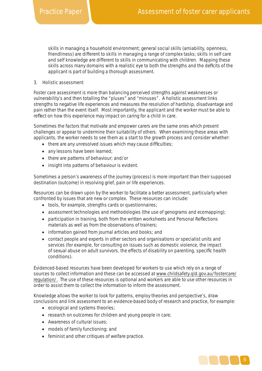skills in managing a household environment; general social skills (amiability, openness, friendliness) are different to skills in managing a range of complex tasks; skills in self care and self knowledge are different to skills in communicating with children. Mapping these skills across many domains with a realistic eye to both the strengths and the deficits of the applicant is part of building a thorough assessment.

### 3. Holistic assessment

Foster care assessment is more than balancing perceived strengths against weaknesses or vulnerability's and then totalling the "pluses" and "minuses". A holistic assessment links strengths to negative life experiences and measures the resolution of hardship, disadvantage and pain rather than the event itself. Most importantly, the applicant and the worker must be able to reflect on how this experience may impact on caring for a child in care.

Sometimes the factors that motivate and empower carers are the same ones which present challenges or appear to undermine their suitability of others. When examining these areas with applicants, the worker needs to see them as a start to the growth process and consider whether:

- $\bullet$  there are any unresolved issues which may cause difficulties;
- any lessons have been learned;
- there are patterns of behaviour; and/or
- insight into patterns of behaviour is evident.

Sometimes a person's awareness of the journey (process) is more important than their supposed destination (outcome) in resolving grief, pain or life experiences.

Resources can be drawn upon by the worker to facilitate a better assessment, particularly when confronted by issues that are new or complex. These resources can include:

- tools, for example, strengths cards or questionnaires;
- assessment technologies and methodologies (the use of genograms and ecomapping);
- participation in training, both from the written worksheets and Personal Reflections materials as well as from the observations of trainers;
- information gained from journal articles and books; and
- contact people and experts in other sectors and organisations or specialist units and services (for example, for consulting on issues such as domestic violence, the impact of sexual abuse on adult survivors, the effects of disability on parenting, specific health conditions).

Evidenced-based resources have been developed for workers to use which rely on a range of sources to collect information and these can be accessed at www.childsafety.qld.gov.au/fostercare/ regulation/. The use of these resources is optional and workers are able to use other resources in order to assist them to collect the information to inform the assessment.

Knowledge allows the worker to look for patterns, employ theories and perspective's, draw conclusions and link assessment to an evidence-based body of research and practice, for example:

- ecological and systems theories;
- research on outcomes for children and young people in care;
- Awareness of cultural issues;
- models of family functioning; and
- feminist and other critiques of welfare practice.

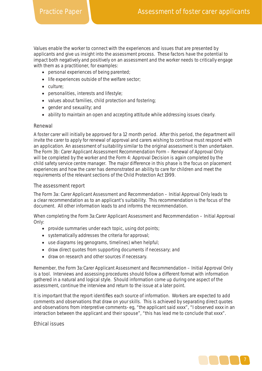Values enable the worker to connect with the experiences and issues that are presented by applicants and give us insight into the assessment process. These factors have the potential to impact both negatively and positively on an assessment and the worker needs to critically engage with them as a practitioner, for examples:

- personal experiences of being parented;
- life experiences outside of the welfare sector;
- culture;
- personalities, interests and lifestyle;
- values about families, child protection and fostering;
- gender and sexuality; and
- ability to maintain an open and accepting attitude while addressing issues clearly.

# Renewal

A foster carer will initially be approved for a 12 month period. After this period, the department will invite the carer to apply for renewal of approval and carers wishing to continue must respond with an application. An assessment of suitability similar to the original assessment is then undertaken. The Form 3b: Carer Applicant Assessment Recommendation Form – Renewal of Approval Only will be completed by the worker and the Form 4: Approval Decision is again completed by the child safety service centre manager. The major difference in this phase is the focus on placement experiences and how the carer has demonstrated an ability to care for children and meet the requirements of the relevant sections of the *Child Protection Act 1999*.

# The assessment report

The Form 3a: Carer Applicant Assessment and Recommendation – Initial Approval Only leads to a clear recommendation as to an applicant's suitability. This recommendation is the focus of the document. All other information leads to and informs the recommendation.

When completing the Form 3a:Carer Applicant Assessment and Recommendation – Initial Approval Only:

- provide summaries under each topic, using dot points;
- systematically addresses the criteria for approval;
- use diagrams (eg genograms, timelines) when helpful;
- draw direct quotes from supporting documents if necessary; and
- draw on research and other sources if necessary.

Remember, the Form 3a:Carer Applicant Assessment and Recommendation – Initial Approval Only is a tool. Interviews and assessing procedures should follow a different format with information gathered in a natural and logical style. Should information come up during one aspect of the assessment, continue the interview and return to the issue at a later point.

It is important that the report identifies each source of information. Workers are expected to add comments and observations that draw on your skills. This is achieved by separating direct quotes and observations from interpretive comments- eg, "the applicant said xxxx", "I observed xxxx in an interaction between the applicant and their spouse", "this has lead me to conclude that xxxx".

# Ethical issues

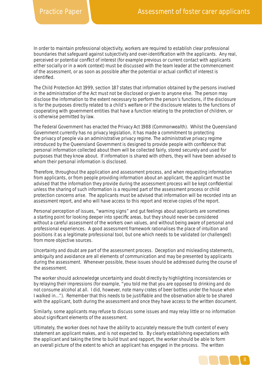In order to maintain professional objectivity, workers are required to establish clear professional boundaries that safeguard against subjectivity and over-identification with the applicants. Any real, perceived or potential conflict of interest (for example previous or current contact with applicants either socially or in a work context) must be discussed with the team leader at the commencement of the assessment, or as soon as possible after the potential or actual conflict of interest is identified

The *Child Protection Act 1999,* section 187 states that information obtained by the persons involved in the administration of the Act must not be disclosed or given to anyone else. The person may disclose the information to the extent necessary to perform the person's functions, if the disclosure is for the purposes directly related to a child's welfare or if the disclosure relates to the functions of cooperating with government entities that have a function relating to the protection of children, or is otherwise permitted by law.

The Federal Government has enacted the *Privacy Act 1988 (Commonwealth)*. Whilst the Queensland Government currently has no privacy legislation, it has made a commitment to protecting the privacy of people via an administrative privacy regime. The administrative privacy regime introduced by the Queensland Government is designed to provide people with confidence that personal information collected about them will be collected fairly, stored securely and used for purposes that they know about. If information is shared with others, they will have been advised to whom their personal information is disclosed.

Therefore, throughout the application and assessment process, and when requesting information from applicants, or from people providing information about an applicant, the applicant must be advised that the information they provide during the assessment process will be kept confidential unless the sharing of such information is a required part of the assessment process or child protection concerns arise. The applicants must be advised that information will be recorded into an assessment report, and who will have access to this report and receive copies of the report.

Personal perception of issues, "warning signs" and gut feelings about applicants are sometimes a starting point for looking deeper into specific areas, but they should never be considered without a careful assessment of the workers own values, and without being aware of personal and professional experiences. A good assessment framework rationalises the place of intuition and positions it as a legitimate professional tool, but one which needs to be validated (or challenged) from more objective sources.

Uncertainty and doubt are part of the assessment process. Deception and misleading statements, ambiguity and avoidance are all elements of communication and may be presented by applicants during the assessment. Whenever possible, these issues should be addressed during the course of the assessment.

The worker should acknowledge uncertainty and doubt directly by highlighting inconsistencies or by relaying their impressions (for example, "you told me that you are opposed to drinking and do not consume alcohol at all. I did, however, note many crates of beer bottles under the house when I walked in..."). Remember that this needs to be justifiable and the observation able to be shared with the applicant, both during the assessment and once they have access to the written document.

Similarly, some applicants may refuse to discuss some issues and may relay little or no information about significant elements of the assessment.

Ultimately, the worker does not have the ability to accurately measure the truth content of every statement an applicant makes, and is not expected to. By clearly establishing expectations with the applicant and taking the time to build trust and rapport, the worker should be able to form an overall picture of the extent to which an applicant has engaged in the process. The written

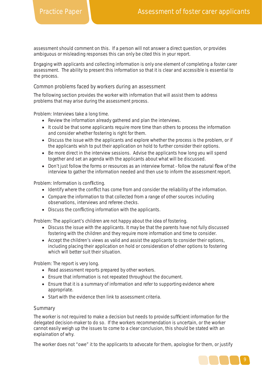assessment should comment on this. If a person will not answer a direct question, or provides ambiguous or misleading responses this can only be cited this in your report.

Engaging with applicants and collecting information is only one element of completing a foster carer assessment. The ability to present this information so that it is clear and accessible is essential to the process.

# Common problems faced by workers during an assessment

The following section provides the worker with information that will assist them to address problems that may arise during the assessment process.

Problem: Interviews take a long time.

- Review the information already gathered and plan the interviews.
- It could be that some applicants require more time than others to process the information and consider whether fostering is right for them.
- Discuss the issue with the applicants and explore whether the process is the problem, or if the applicants wish to put their application on hold to further consider their options.
- Be more direct in the interview sessions. Advise the applicants how long you will spend together and set an agenda with the applicants about what will be discussed.
- Don't just follow the forms or resources as an interview format follow the natural flow of the interview to gather the information needed and then use to inform the assessment report.

Problem: Information is conflicting.

- Identify where the conflict has come from and consider the reliability of the information.
- Compare the information to that collected from a range of other sources including observations, interviews and referee checks.
- Discuss the conflicting information with the applicants.

Problem: The applicant's children are not happy about the idea of fostering.

- Discuss the issue with the applicants. It may be that the parents have not fully discussed fostering with the children and they require more information and time to consider.
- Accept the children's views as valid and assist the applicants to consider their options, including placing their application on hold or consideration of other options to fostering which will better suit their situation.

Problem: The report is very long.

- Read assessment reports prepared by other workers.
- Ensure that information is not repeated throughout the document.
- Ensure that it is a summary of information and refer to supporting evidence where appropriate.
- Start with the evidence then link to assessment criteria.

# **Summary**

The worker is not required to make a decision but needs to provide sufficient information for the delegated decision-maker to do so. If the workers recommendation is uncertain, or the worker cannot easily weigh up the issues to come to a clear conclusion, this should be stated with an explaination of why.

The worker does not "owe" it to the applicants to advocate for them, apologise for them, or justify